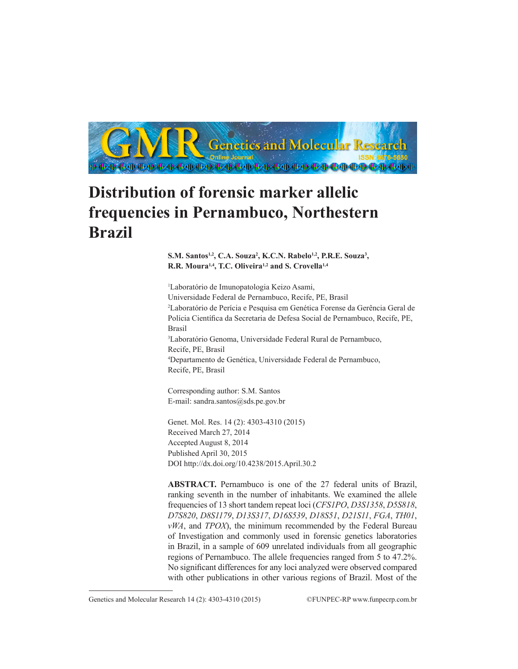

# **Distribution of forensic marker allelic frequencies in Pernambuco, Northestern Brazil**

S.M. Santos<sup>1,2</sup>, C.A. Souza<sup>2</sup>, K.C.N. Rabelo<sup>1,2</sup>, P.R.E. Souza<sup>3</sup>, **R.R. Moura1,4, T.C. Oliveira1,2 and S. Crovella1,4**

1 Laboratório de Imunopatologia Keizo Asami, Universidade Federal de Pernambuco, Recife, PE, Brasil 2 Laboratório de Perícia e Pesquisa em Genética Forense da Gerência Geral de Polícia Científica da Secretaria de Defesa Social de Pernambuco, Recife, PE, Brasil 3 Laboratório Genoma, Universidade Federal Rural de Pernambuco, Recife, PE, Brasil 4 Departamento de Genética, Universidade Federal de Pernambuco, Recife, PE, Brasil

Corresponding author: S.M. Santos E-mail: sandra.santos@sds.pe.gov.br

Genet. Mol. Res. 14 (2): 4303-4310 (2015) Received March 27, 2014 Accepted August 8, 2014 Published April 30, 2015 DOI http://dx.doi.org/10.4238/2015.April.30.2

**ABSTRACT.** Pernambuco is one of the 27 federal units of Brazil, ranking seventh in the number of inhabitants. We examined the allele frequencies of 13 short tandem repeat loci (*CFS1PO*, *D3S1358*, *D5S818*, *D7S820*, *D8S1179*, *D13S317*, *D16S539*, *D18S51*, *D21S11*, *FGA*, *TH01*, *vWA*, and *TPOX*), the minimum recommended by the Federal Bureau of Investigation and commonly used in forensic genetics laboratories in Brazil, in a sample of 609 unrelated individuals from all geographic regions of Pernambuco. The allele frequencies ranged from 5 to 47.2%. No significant differences for any loci analyzed were observed compared with other publications in other various regions of Brazil. Most of the

Genetics and Molecular Research 14 (2): 4303-4310 (2015) ©FUNPEC-RP www.funpecrp.com.br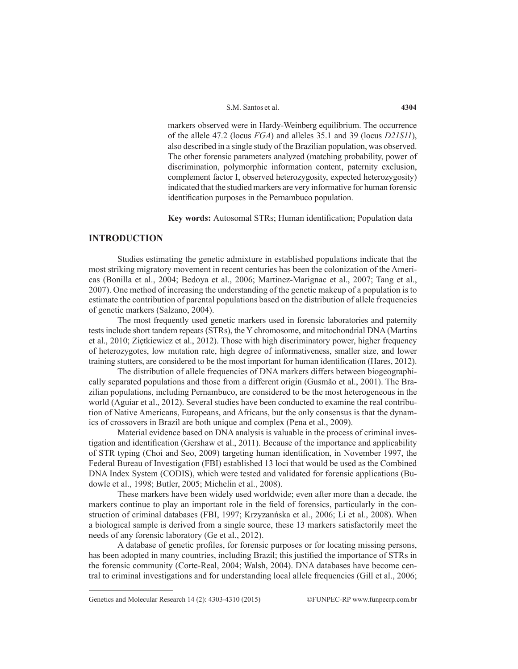markers observed were in Hardy-Weinberg equilibrium. The occurrence of the allele 47.2 (locus *FGA*) and alleles 35.1 and 39 (locus *D21S11*), also described in a single study of the Brazilian population, was observed. The other forensic parameters analyzed (matching probability, power of discrimination, polymorphic information content, paternity exclusion, complement factor I, observed heterozygosity, expected heterozygosity) indicated that the studied markers are very informative for human forensic identification purposes in the Pernambuco population.

**Key words:** Autosomal STRs; Human identification; Population data

# **INTRODUCTION**

Studies estimating the genetic admixture in established populations indicate that the most striking migratory movement in recent centuries has been the colonization of the Americas (Bonilla et al., 2004; Bedoya et al., 2006; Martinez-Marignac et al., 2007; Tang et al., 2007). One method of increasing the understanding of the genetic makeup of a population is to estimate the contribution of parental populations based on the distribution of allele frequencies of genetic markers (Salzano, 2004).

The most frequently used genetic markers used in forensic laboratories and paternity tests include short tandem repeats (STRs), the Y chromosome, and mitochondrial DNA (Martins et al., 2010; Ziętkiewicz et al., 2012). Those with high discriminatory power, higher frequency of heterozygotes, low mutation rate, high degree of informativeness, smaller size, and lower training stutters, are considered to be the most important for human identification (Hares, 2012).

The distribution of allele frequencies of DNA markers differs between biogeographically separated populations and those from a different origin (Gusmão et al., 2001). The Brazilian populations, including Pernambuco, are considered to be the most heterogeneous in the world (Aguiar et al., 2012). Several studies have been conducted to examine the real contribution of Native Americans, Europeans, and Africans, but the only consensus is that the dynamics of crossovers in Brazil are both unique and complex (Pena et al., 2009).

Material evidence based on DNA analysis is valuable in the process of criminal investigation and identification (Gershaw et al., 2011). Because of the importance and applicability of STR typing (Choi and Seo, 2009) targeting human identification, in November 1997, the Federal Bureau of Investigation (FBI) established 13 loci that would be used as the Combined DNA Index System (CODIS), which were tested and validated for forensic applications (Budowle et al., 1998; Butler, 2005; Michelin et al., 2008).

These markers have been widely used worldwide; even after more than a decade, the markers continue to play an important role in the field of forensics, particularly in the construction of criminal databases (FBI, 1997; Krzyzanńska et al., 2006; Li et al., 2008). When a biological sample is derived from a single source, these 13 markers satisfactorily meet the needs of any forensic laboratory (Ge et al., 2012).

A database of genetic profiles, for forensic purposes or for locating missing persons, has been adopted in many countries, including Brazil; this justified the importance of STRs in the forensic community (Corte-Real, 2004; Walsh, 2004). DNA databases have become central to criminal investigations and for understanding local allele frequencies (Gill et al., 2006;

Genetics and Molecular Research 14 (2): 4303-4310 (2015) ©FUNPEC-RP www.funpecrp.com.br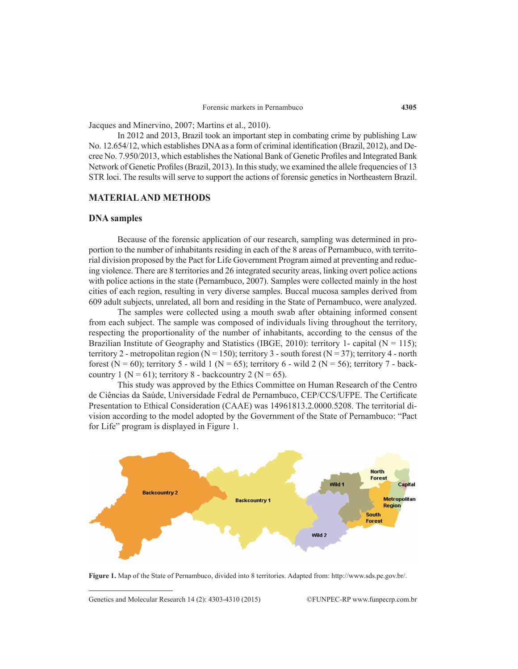Jacques and Minervino, 2007; Martins et al., 2010).

In 2012 and 2013, Brazil took an important step in combating crime by publishing Law No. 12.654/12, which establishes DNA as a form of criminal identification (Brazil, 2012), and Decree No. 7.950/2013, which establishes the National Bank of Genetic Profiles and Integrated Bank Network of Genetic Profiles (Brazil, 2013). In this study, we examined the allele frequencies of 13 STR loci. The results will serve to support the actions of forensic genetics in Northeastern Brazil.

#### **MATERIAL AND METHODS**

#### **DNA samples**

Because of the forensic application of our research, sampling was determined in proportion to the number of inhabitants residing in each of the 8 areas of Pernambuco, with territorial division proposed by the Pact for Life Government Program aimed at preventing and reducing violence. There are 8 territories and 26 integrated security areas, linking overt police actions with police actions in the state (Pernambuco, 2007). Samples were collected mainly in the host cities of each region, resulting in very diverse samples. Buccal mucosa samples derived from 609 adult subjects, unrelated, all born and residing in the State of Pernambuco, were analyzed.

The samples were collected using a mouth swab after obtaining informed consent from each subject. The sample was composed of individuals living throughout the territory, respecting the proportionality of the number of inhabitants, according to the census of the Brazilian Institute of Geography and Statistics (IBGE, 2010): territory 1- capital ( $N = 115$ ); territory 2 - metropolitan region (N = 150); territory 3 - south forest (N = 37); territory 4 - north forest (N = 60); territory 5 - wild 1 (N = 65); territory 6 - wild 2 (N = 56); territory 7 - backcountry 1 ( $N = 61$ ); territory 8 - backcountry 2 ( $N = 65$ ).

This study was approved by the Ethics Committee on Human Research of the Centro de Ciências da Saúde, Universidade Fedral de Pernambuco, CEP/CCS/UFPE. The Certificate Presentation to Ethical Consideration (CAAE) was 14961813.2.0000.5208. The territorial division according to the model adopted by the Government of the State of Pernambuco: "Pact for Life" program is displayed in Figure 1.



**Figure 1.** Map of the State of Pernambuco, divided into 8 territories. Adapted from: http://www.sds.pe.gov.br/.

Genetics and Molecular Research 14 (2): 4303-4310 (2015) ©FUNPEC-RP www.funpecrp.com.br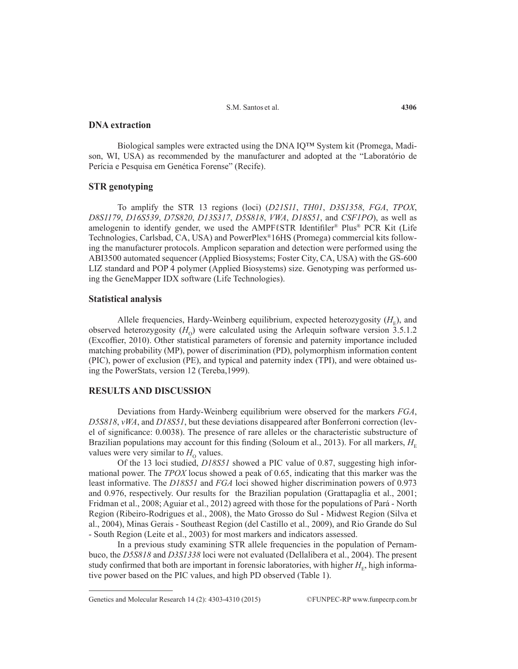S.M. Santos et al.

# **DNA extraction**

Biological samples were extracted using the DNA IQ™ System kit (Promega, Madison, WI, USA) as recommended by the manufacturer and adopted at the "Laboratório de Perícia e Pesquisa em Genética Forense" (Recife).

#### **STR genotyping**

To amplify the STR 13 regions (loci) (*D21S11*, *TH01*, *D3S1358*, *FGA*, *TPOX*, *D8S1179*, *D16S539*, *D7S820*, *D13S317*, *D5S818*, *VWA*, *D18S51*, and *CSF1PO*), as well as amelogenin to identify gender, we used the AMPFℓSTR Identifiler<sup>®</sup> Plus<sup>®</sup> PCR Kit (Life Technologies, Carlsbad, CA, USA) and PowerPlex®16HS (Promega) commercial kits following the manufacturer protocols. Amplicon separation and detection were performed using the ABI3500 automated sequencer (Applied Biosystems; Foster City, CA, USA) with the GS-600 LIZ standard and POP 4 polymer (Applied Biosystems) size. Genotyping was performed using the GeneMapper IDX software (Life Technologies).

#### **Statistical analysis**

Allele frequencies, Hardy-Weinberg equilibrium, expected heterozygosity  $(H_{\rm E})$ , and observed heterozygosity  $(H<sub>o</sub>)$  were calculated using the Arlequin software version 3.5.1.2 (Excoffier, 2010). Other statistical parameters of forensic and paternity importance included matching probability (MP), power of discrimination (PD), polymorphism information content (PIC), power of exclusion (PE), and typical and paternity index (TPI), and were obtained using the PowerStats, version 12 (Tereba,1999).

# **RESULTS AND DISCUSSION**

Deviations from Hardy-Weinberg equilibrium were observed for the markers *FGA*, *D5S818*, *vWA*, and *D18S51*, but these deviations disappeared after Bonferroni correction (level of significance: 0.0038). The presence of rare alleles or the characteristic substructure of Brazilian populations may account for this finding (Soloum et al., 2013). For all markers,  $H<sub>E</sub>$ values were very similar to  $H_0$  values.

Of the 13 loci studied, *D18S51* showed a PIC value of 0.87, suggesting high informational power. The *TPOX* locus showed a peak of 0.65, indicating that this marker was the least informative. The *D18S51* and *FGA* loci showed higher discrimination powers of 0.973 and 0.976, respectively. Our results for the Brazilian population (Grattapaglia et al., 2001; Fridman et al., 2008; Aguiar et al., 2012) agreed with those for the populations of Pará - North Region (Ribeiro-Rodrigues et al., 2008), the Mato Grosso do Sul - Midwest Region (Silva et al., 2004), Minas Gerais - Southeast Region (del Castillo et al., 2009), and Rio Grande do Sul - South Region (Leite et al., 2003) for most markers and indicators assessed.

In a previous study examining STR allele frequencies in the population of Pernambuco, the *D5S818* and *D3S1338* loci were not evaluated (Dellalibera et al., 2004). The present study confirmed that both are important in forensic laboratories, with higher  $H<sub>E</sub>$ , high informative power based on the PIC values, and high PD observed (Table 1).

Genetics and Molecular Research 14 (2): 4303-4310 (2015) ©FUNPEC-RP www.funpecrp.com.br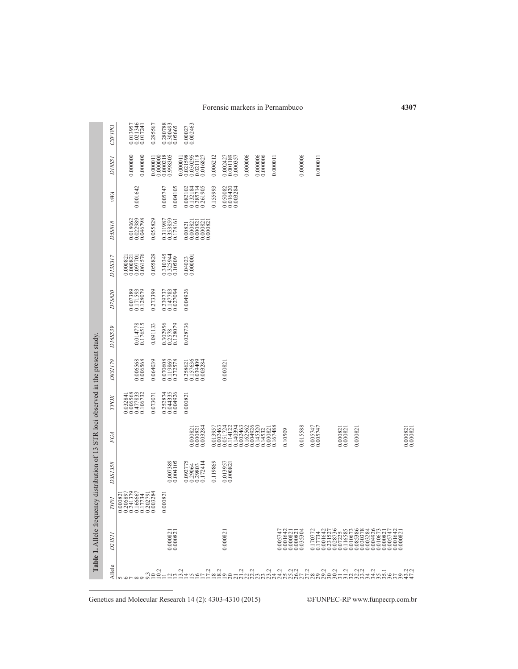| <b>CSFIPO</b>       | 0.013957<br>0.021346<br>0.017241                                            | 0.295567 | 0.280788<br>0.300493<br>0.05665                                                         | 0.00027<br>0.002463                                                                    |          |                                        |          |                          |          |                                                                                                     |          |                      |          |         |                                                                                                                                                                                                                                                                                                       |                      |
|---------------------|-----------------------------------------------------------------------------|----------|-----------------------------------------------------------------------------------------|----------------------------------------------------------------------------------------|----------|----------------------------------------|----------|--------------------------|----------|-----------------------------------------------------------------------------------------------------|----------|----------------------|----------|---------|-------------------------------------------------------------------------------------------------------------------------------------------------------------------------------------------------------------------------------------------------------------------------------------------------------|----------------------|
| D18S51              | 0.000000<br>0.000000                                                        |          | $\begin{array}{c} 0.000011 \\ 0.000000 \\ 0.000218 \\ 1.000218 \\ 0.998305 \end{array}$ | 0.021598<br>0.020295<br>0.021118<br>0.016827<br>0.000011                               | 0.006212 | $0.002427$<br>$0.001189$<br>$0.000357$ | 0.000006 | $0.000006$<br>$0.000006$ | 0.000011 |                                                                                                     | 0.000006 | 0.000011             |          |         |                                                                                                                                                                                                                                                                                                       |                      |
| vWA                 | 0.001642                                                                    |          | 0.005747<br>0.004105                                                                    | 0.082102<br>0.132184<br>0.285714<br>0.261905                                           | 0.155993 | 0.050082<br>0.016420<br>0.003284       |          |                          |          |                                                                                                     |          |                      |          |         |                                                                                                                                                                                                                                                                                                       |                      |
| D5S818              | 0.018062<br>0.022989<br>0.046798                                            | 0.055829 | 0.311987<br>0.353859<br>0.178161                                                        | $\begin{array}{c} 0.00821 \\ 0.000821 \\ 0.000821 \\ 0.000821 \\ 0.000821 \end{array}$ |          |                                        |          |                          |          |                                                                                                     |          |                      |          |         |                                                                                                                                                                                                                                                                                                       |                      |
| D13S317             | $\begin{array}{c} 0.000821 \\ 0.000821 \\ 0.097701 \\ 0.061576 \end{array}$ | 0.055829 | 0.310345<br>0.325944<br>0.10509                                                         | $0.04023$<br>$0.000001$                                                                |          |                                        |          |                          |          |                                                                                                     |          |                      |          |         |                                                                                                                                                                                                                                                                                                       |                      |
| D7S820              | 0.007389<br>0.171593<br>0.128079                                            | 0.273399 | 0.239737<br>0.147783<br>0.027094                                                        | 0.004926                                                                               |          |                                        |          |                          |          |                                                                                                     |          |                      |          |         |                                                                                                                                                                                                                                                                                                       |                      |
| D16S539             | 0.014778<br>0.176515                                                        | 0.091133 | 0.302956<br>0.2578<br>0.128079                                                          | 0.028736                                                                               |          |                                        |          |                          |          |                                                                                                     |          |                      |          |         |                                                                                                                                                                                                                                                                                                       |                      |
| D8SI179             | 0.006568<br>0.006568                                                        | 0.064039 | 0.070608<br>0.119869<br>0.272578                                                        | 0.258621<br>0.157636<br>0.039409<br>0.003284                                           |          | 0.00082                                |          |                          |          |                                                                                                     |          |                      |          |         |                                                                                                                                                                                                                                                                                                       |                      |
| TPOX                | $\begin{array}{c} 0.032841 \\ 0.006568 \\ 0.477833 \\ 0.106732 \end{array}$ | 0.073071 | 0.252874<br>0.044335<br>0.004926                                                        | 0.00082                                                                                |          |                                        |          |                          |          |                                                                                                     |          |                      |          |         |                                                                                                                                                                                                                                                                                                       |                      |
| FGA                 |                                                                             |          |                                                                                         | $\begin{array}{c} 0.000821 \\ 0.000821 \\ 0.003284 \end{array}$                        |          |                                        |          |                          |          | 0.10509                                                                                             | 0.015588 | 0.005747<br>0.005747 | 0.000821 | 0.00082 |                                                                                                                                                                                                                                                                                                       | 0.000821<br>0.000821 |
| D3S1358             |                                                                             |          | 0.007389<br>0.004105                                                                    | 0.092775<br>0.29064<br>0.29803<br>0.172414                                             | 0.119869 | 0.013957<br>0.000821                   |          |                          |          |                                                                                                     |          |                      |          |         |                                                                                                                                                                                                                                                                                                       |                      |
| TЮ.                 |                                                                             |          | 0.00082                                                                                 |                                                                                        |          |                                        |          |                          |          |                                                                                                     |          |                      |          |         |                                                                                                                                                                                                                                                                                                       |                      |
| D <sub>2</sub> ISII |                                                                             |          | $0.000821$<br>$0.000821$                                                                |                                                                                        |          | 0.000821                               |          |                          |          | $\begin{array}{c} 0.005747 \\ 0.001642 \\ 0.000821 \\ 0.000821 \\ 0.000821 \\ 0.035304 \end{array}$ |          |                      |          |         | $\begin{smallmatrix} 170771 \\ 1707380 \\ 170734 \\ 1707380 \\ 170734 \\ 1707380 \\ 1707380 \\ 1707380 \\ 1707380 \\ 1707380 \\ 17080 \\ 17080 \\ 17080 \\ 17080 \\ 17080 \\ 17080 \\ 17080 \\ 17080 \\ 1700 \\ 1700 \\ 1700 \\ 1700 \\ 1700 \\ 1700 \\ 1700 \\ 1700 \\ 1700 \\ 1700 \\ 1700 \\ 1700$ |                      |
| Allele              |                                                                             |          |                                                                                         |                                                                                        |          |                                        |          |                          |          |                                                                                                     |          |                      |          |         |                                                                                                                                                                                                                                                                                                       |                      |

Forensic markers in Pernambuco

**4307**

Genetics and Molecular Research 14 (2): 4303-4310 (2015) ©FUNPEC-RP www.funpecrp.com.br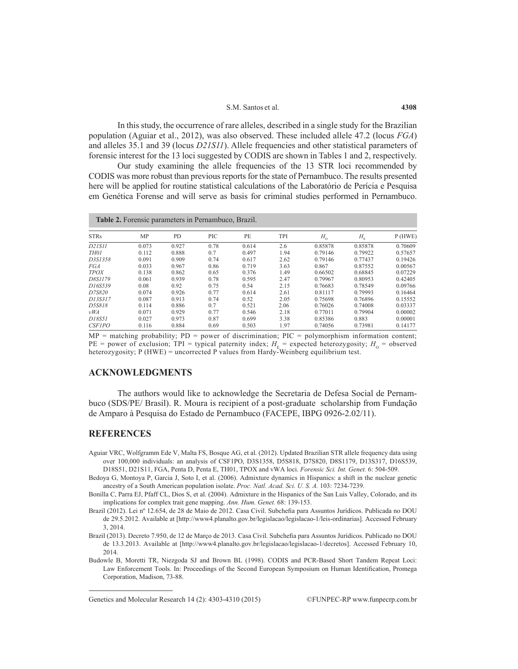#### S.M. Santos et al.

In this study, the occurrence of rare alleles, described in a single study for the Brazilian population (Aguiar et al., 2012), was also observed. These included allele 47.2 (locus *FGA*) and alleles 35.1 and 39 (locus *D21S11*). Allele frequencies and other statistical parameters of forensic interest for the 13 loci suggested by CODIS are shown in Tables 1 and 2, respectively.

Our study examining the allele frequencies of the 13 STR loci recommended by CODIS was more robust than previous reports for the state of Pernambuco. The results presented here will be applied for routine statistical calculations of the Laboratório de Perícia e Pesquisa em Genética Forense and will serve as basis for criminal studies performed in Pernambuco.

| <b>Table 2.</b> Forensic parameters in Pernambuco, Brazil. |       |       |      |       |      |             |                               |         |  |  |  |
|------------------------------------------------------------|-------|-------|------|-------|------|-------------|-------------------------------|---------|--|--|--|
| <b>STRs</b>                                                | MP    | PD.   | PIC  | PE    | TPI  | $H_{\rm o}$ | $H_{\scriptscriptstyle\rm E}$ | P(HWE)  |  |  |  |
| D21S11                                                     | 0.073 | 0.927 | 0.78 | 0.614 | 2.6  | 0.85878     | 0.85878                       | 0.70609 |  |  |  |
| TH01                                                       | 0.112 | 0.888 | 0.7  | 0.497 | 1.94 | 0.79146     | 0.79922                       | 0.57657 |  |  |  |
| D3S1358                                                    | 0.091 | 0.909 | 0.74 | 0.617 | 2.62 | 0.79146     | 0.77437                       | 0.19426 |  |  |  |
| <i>FGA</i>                                                 | 0.033 | 0.967 | 0.86 | 0.719 | 3.63 | 0.867       | 0.87552                       | 0.00567 |  |  |  |
| <b>TPOX</b>                                                | 0.138 | 0.862 | 0.65 | 0.376 | 1.49 | 0.66502     | 0.68845                       | 0.07229 |  |  |  |
| D8S1179                                                    | 0.061 | 0.939 | 0.78 | 0.595 | 2.47 | 0.79967     | 0.80953                       | 0.42405 |  |  |  |
| D16S539                                                    | 0.08  | 0.92  | 0.75 | 0.54  | 2.15 | 0.76683     | 0.78549                       | 0.09766 |  |  |  |
| D7S820                                                     | 0.074 | 0.926 | 0.77 | 0.614 | 2.61 | 0.81117     | 0.79993                       | 0.16464 |  |  |  |
| D13S317                                                    | 0.087 | 0.913 | 0.74 | 0.52  | 2.05 | 0.75698     | 0.76896                       | 0.15552 |  |  |  |
| D5S818                                                     | 0.114 | 0.886 | 0.7  | 0.521 | 2.06 | 0.76026     | 0.74008                       | 0.03337 |  |  |  |
| vWA                                                        | 0.071 | 0.929 | 0.77 | 0.546 | 2.18 | 0.77011     | 0.79904                       | 0.00002 |  |  |  |
| D18S51                                                     | 0.027 | 0.973 | 0.87 | 0.699 | 3.38 | 0.85386     | 0.883                         | 0.00001 |  |  |  |
| <b>CSF1PO</b>                                              | 0.116 | 0.884 | 0.69 | 0.503 | 1.97 | 0.74056     | 0.73981                       | 0.14177 |  |  |  |

 $MP =$  matching probability;  $PD =$  power of discrimination;  $PIC =$  polymorphism information content; PE = power of exclusion; TPI = typical paternity index;  $H<sub>E</sub>$  = expected heterozygosity;  $H<sub>O</sub>$  = observed heterozygosity; P (HWE) = uncorrected P values from Hardy-Weinberg equilibrium test.

### **ACKNOWLEDGMENTS**

The authors would like to acknowledge the Secretaria de Defesa Social de Pernambuco (SDS/PE/ Brasil). R. Moura is recipient of a post-graduate scholarship from Fundação de Amparo à Pesquisa do Estado de Pernambuco (FACEPE, IBPG 0926-2.02/11).

#### **REFERENCES**

Aguiar VRC, Wolfgramm Ede V, Malta FS, Bosque AG, et al. (2012). Updated Brazilian STR allele frequency data using over 100,000 individuals: an analysis of CSF1PO, D3S1358, D5S818, D7S820, D8S1179, D13S317, D16S539, D18S51, D21S11, FGA, Penta D, Penta E, TH01, TPOX and vWA loci. *Forensic Sci. Int. Genet.* 6: 504-509.

Bedoya G, Montoya P, Garcia J, Soto I, et al. (2006). Admixture dynamics in Hispanics: a shift in the nuclear genetic ancestry of a South American population isolate. *Proc. Natl. Acad. Sci. U. S. A.* 103: 7234-7239.

Bonilla C, Parra EJ, Pfaff CL, Dios S, et al. (2004). Admixture in the Hispanics of the San Luis Valley, Colorado, and its implications for complex trait gene mapping. *Ann. Hum. Genet.* 68: 139-153.

Brazil (2012). Lei nº 12.654, de 28 de Maio de 2012. Casa Civil. Subchefia para Assuntos Jurídicos. Publicada no DOU de 29.5.2012. Available at [http://www4.planalto.gov.br/legislacao/legislacao-1/leis-ordinarias]. Accessed February 3, 2014.

Brazil (2013). Decreto 7.950, de 12 de Março de 2013. Casa Civil. Subchefia para Assuntos Jurídicos. Publicado no DOU de 13.3.2013. Available at [http://www4.planalto.gov.br/legislacao/legislacao-1/decretos]. Accessed February 10, 2014.

Budowle B, Moretti TR, Niezgoda SJ and Brown BL (1998). CODIS and PCR-Based Short Tandem Repeat Loci: Law Enforcement Tools. In: Proceedings of the Second European Symposium on Human Identification, Promega Corporation, Madison, 73-88.

Genetics and Molecular Research 14 (2): 4303-4310 (2015) ©FUNPEC-RP www.funpecrp.com.br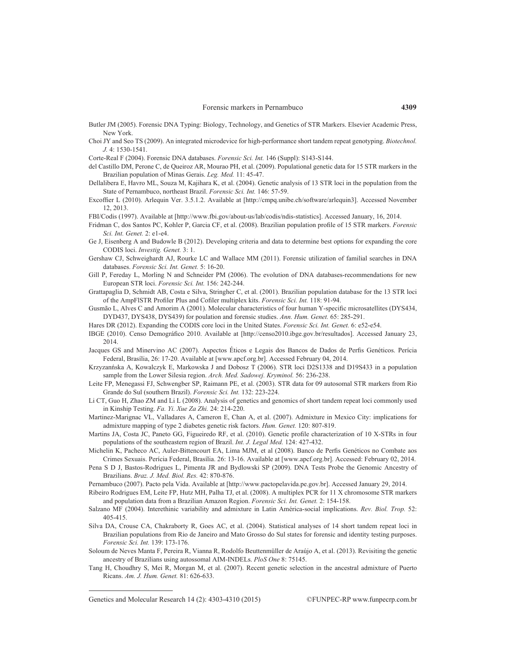- Butler JM (2005). Forensic DNA Typing: Biology, Technology, and Genetics of STR Markers. Elsevier Academic Press, New York.
- Choi JY and Seo TS (2009). An integrated microdevice for high-performance short tandem repeat genotyping. *Biotechnol. J.* 4: 1530-1541.
- Corte-Real F (2004). Forensic DNA databases. *Forensic Sci. Int.* 146 (Suppl): S143-S144.
- del Castillo DM, Perone C, de Queiroz AR, Mourao PH, et al. (2009). Populational genetic data for 15 STR markers in the Brazilian population of Minas Gerais. *Leg. Med.* 11: 45-47.
- Dellalibera E, Havro ML, Souza M, Kajihara K, et al. (2004). Genetic analysis of 13 STR loci in the population from the State of Pernambuco, northeast Brazil. *Forensic Sci. Int.* 146: 57-59.
- Excoffier L (2010). Arlequin Ver. 3.5.1.2. Available at [http://cmpq.unibe.ch/software/arlequin3]. Accessed November 12, 2013.
- FBI/Codis (1997). Available at [http://www.fbi.gov/about-us/lab/codis/ndis-statistics]. Accessed January, 16, 2014.
- Fridman C, dos Santos PC, Kohler P, Garcia CF, et al. (2008). Brazilian population profile of 15 STR markers. *Forensic Sci. Int. Genet.* 2: e1-e4.
- Ge J, Eisenberg A and Budowle B (2012). Developing criteria and data to determine best options for expanding the core CODIS loci. *Investig. Genet.* 3: 1.
- Gershaw CJ, Schweighardt AJ, Rourke LC and Wallace MM (2011). Forensic utilization of familial searches in DNA databases. *Forensic Sci. Int. Genet.* 5: 16-20.
- Gill P, Fereday L, Morling N and Schneider PM (2006). The evolution of DNA databases-recommendations for new European STR loci. *Forensic Sci. Int.* 156: 242-244.
- Grattapaglia D, Schmidt AB, Costa e Silva, Stringher C, et al. (2001). Brazilian population database for the 13 STR loci of the AmpFlSTR Profiler Plus and Cofiler multiplex kits. *Forensic Sci. Int.* 118: 91-94.
- Gusmão L, Alves C and Amorim A (2001). Molecular characteristics of four human Y-specific microsatellites (DYS434, DYD437, DYS438, DYS439) for poulation and forensic studies. *Ann. Hum. Genet.* 65: 285-291.
- Hares DR (2012). Expanding the CODIS core loci in the United States. *Forensic Sci. Int. Genet.* 6: e52-e54.
- IBGE (2010). Censo Demográfico 2010. Available at [http://censo2010.ibge.gov.br/resultados]. Accessed January 23, 2014.
- Jacques GS and Minervino AC (2007). Aspectos Éticos e Legais dos Bancos de Dados de Perfis Genéticos. Perícia Federal, Brasília, 26: 17-20. Available at [www.apcf.org.br]. Accessed February 04, 2014.
- Krzyzanńska A, Kowalczyk E, Markowska J and Dobosz T (2006). STR loci D2S1338 and D19S433 in a population sample from the Lower Silesia region. *Arch. Med. Sadowej. Kryminol.* 56: 236-238.
- Leite FP, Menegassi FJ, Schwengber SP, Raimann PE, et al. (2003). STR data for 09 autosomal STR markers from Rio Grande do Sul (southern Brazil). *Forensic Sci. Int.* 132: 223-224.
- Li CT, Guo H, Zhao ZM and Li L (2008). Analysis of genetics and genomics of short tandem repeat loci commonly used in Kinship Testing. *Fa. Yi. Xue Za Zhi.* 24: 214-220.
- Martinez-Marignac VL, Valladares A, Cameron E, Chan A, et al. (2007). Admixture in Mexico City: implications for admixture mapping of type 2 diabetes genetic risk factors. *Hum. Genet.* 120: 807-819.
- Martins JA, Costa JC, Paneto GG, Figueiredo RF, et al. (2010). Genetic profile characterization of 10 X-STRs in four populations of the southeastern region of Brazil. *Int. J. Legal Med.* 124: 427-432.
- Michelin K, Pacheco AC, Auler-Bittencourt EA, Lima MJM, et al (2008). Banco de Perfis Genéticos no Combate aos Crimes Sexuais. Perícia Federal, Brasília. 26: 13-16. Available at [www.apcf.org.br]. Accessed: February 02, 2014.
- Pena S D J, Bastos-Rodrigues L, Pimenta JR and Bydlowski SP (2009). DNA Tests Probe the Genomic Ancestry of Brazilians. *Braz. J. Med. Biol. Res.* 42: 870-876.
- Pernambuco (2007). Pacto pela Vida. Available at [http://www.pactopelavida.pe.gov.br]. Accessed January 29, 2014.
- Ribeiro Rodrigues EM, Leite FP, Hutz MH, Palha TJ, et al. (2008). A multiplex PCR for 11 X chromosome STR markers and population data from a Brazilian Amazon Region. *Forensic Sci. Int. Genet.* 2: 154-158.
- Salzano MF (2004). Interethinic variability and admixture in Latin América-social implications. *Rev. Biol. Trop.* 52: 405-415.
- Silva DA, Crouse CA, Chakraborty R, Goes AC, et al. (2004). Statistical analyses of 14 short tandem repeat loci in Brazilian populations from Rio de Janeiro and Mato Grosso do Sul states for forensic and identity testing purposes. *Forensic Sci. Int.* 139: 173-176.
- Soloum de Neves Manta F, Pereira R, Vianna R, Rodolfo Beuttenmüller de Araújo A, et al. (2013). Revisiting the genetic ancestry of Brazilians using autossomal AIM-INDELs. *PloS One* 8: 75145.
- Tang H, Choudhry S, Mei R, Morgan M, et al. (2007). Recent genetic selection in the ancestral admixture of Puerto Ricans. *Am. J. Hum. Genet.* 81: 626-633.